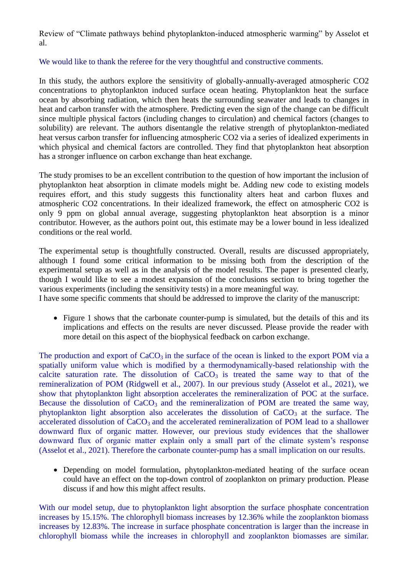Review of "Climate pathways behind phytoplankton-induced atmospheric warming" by Asselot et al.

## We would like to thank the referee for the very thoughtful and constructive comments.

In this study, the authors explore the sensitivity of globally-annually-averaged atmospheric CO2 concentrations to phytoplankton induced surface ocean heating. Phytoplankton heat the surface ocean by absorbing radiation, which then heats the surrounding seawater and leads to changes in heat and carbon transfer with the atmosphere. Predicting even the sign of the change can be difficult since multiple physical factors (including changes to circulation) and chemical factors (changes to solubility) are relevant. The authors disentangle the relative strength of phytoplankton-mediated heat versus carbon transfer for influencing atmospheric CO2 via a series of idealized experiments in which physical and chemical factors are controlled. They find that phytoplankton heat absorption has a stronger influence on carbon exchange than heat exchange.

The study promises to be an excellent contribution to the question of how important the inclusion of phytoplankton heat absorption in climate models might be. Adding new code to existing models requires effort, and this study suggests this functionality alters heat and carbon fluxes and atmospheric CO2 concentrations. In their idealized framework, the effect on atmospheric CO2 is only 9 ppm on global annual average, suggesting phytoplankton heat absorption is a minor contributor. However, as the authors point out, this estimate may be a lower bound in less idealized conditions or the real world.

The experimental setup is thoughtfully constructed. Overall, results are discussed appropriately, although I found some critical information to be missing both from the description of the experimental setup as well as in the analysis of the model results. The paper is presented clearly, though I would like to see a modest expansion of the conclusions section to bring together the various experiments (including the sensitivity tests) in a more meaningful way.

I have some specific comments that should be addressed to improve the clarity of the manuscript:

• Figure 1 shows that the carbonate counter-pump is simulated, but the details of this and its implications and effects on the results are never discussed. Please provide the reader with more detail on this aspect of the biophysical feedback on carbon exchange.

The production and export of  $CaCO<sub>3</sub>$  in the surface of the ocean is linked to the export POM via a spatially uniform value which is modified by a thermodynamically-based relationship with the calcite saturation rate. The dissolution of  $CaCO<sub>3</sub>$  is treated the same way to that of the remineralization of POM (Ridgwell et al., 2007). In our previous study (Asselot et al., 2021), we show that phytoplankton light absorption accelerates the remineralization of POC at the surface. Because the dissolution of  $CaCO<sub>3</sub>$  and the remineralization of POM are treated the same way, phytoplankton light absorption also accelerates the dissolution of  $CaCO<sub>3</sub>$  at the surface. The accelerated dissolution of CaCO<sub>3</sub> and the accelerated remineralization of POM lead to a shallower downward flux of organic matter. However, our previous study evidences that the shallower downward flux of organic matter explain only a small part of the climate system's response (Asselot et al., 2021). Therefore the carbonate counter-pump has a small implication on our results.

 Depending on model formulation, phytoplankton-mediated heating of the surface ocean could have an effect on the top-down control of zooplankton on primary production. Please discuss if and how this might affect results.

With our model setup, due to phytoplankton light absorption the surface phosphate concentration increases by 15.15%. The chlorophyll biomass increases by 12.36% while the zooplankton biomass increases by 12.83%. The increase in surface phosphate concentration is larger than the increase in chlorophyll biomass while the increases in chlorophyll and zooplankton biomasses are similar.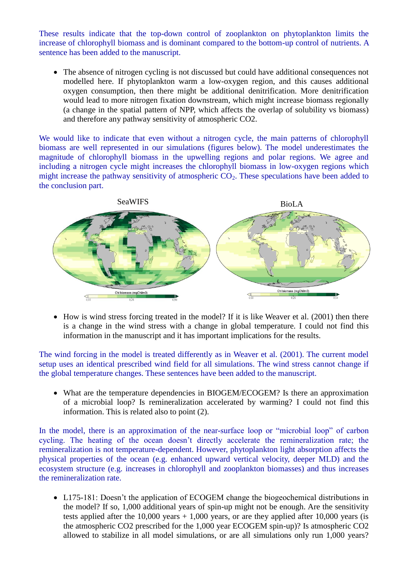These results indicate that the top-down control of zooplankton on phytoplankton limits the increase of chlorophyll biomass and is dominant compared to the bottom-up control of nutrients. A sentence has been added to the manuscript.

• The absence of nitrogen cycling is not discussed but could have additional consequences not modelled here. If phytoplankton warm a low-oxygen region, and this causes additional oxygen consumption, then there might be additional denitrification. More denitrification would lead to more nitrogen fixation downstream, which might increase biomass regionally (a change in the spatial pattern of NPP, which affects the overlap of solubility vs biomass) and therefore any pathway sensitivity of atmospheric CO2.

We would like to indicate that even without a nitrogen cycle, the main patterns of chlorophyll biomass are well represented in our simulations (figures below). The model underestimates the magnitude of chlorophyll biomass in the upwelling regions and polar regions. We agree and including a nitrogen cycle might increases the chlorophyll biomass in low-oxygen regions which might increase the pathway sensitivity of atmospheric  $CO<sub>2</sub>$ . These speculations have been added to the conclusion part.



• How is wind stress forcing treated in the model? If it is like Weaver et al. (2001) then there is a change in the wind stress with a change in global temperature. I could not find this information in the manuscript and it has important implications for the results.

The wind forcing in the model is treated differently as in Weaver et al. (2001). The current model setup uses an identical prescribed wind field for all simulations. The wind stress cannot change if the global temperature changes. These sentences have been added to the manuscript.

 What are the temperature dependencies in BIOGEM/ECOGEM? Is there an approximation of a microbial loop? Is remineralization accelerated by warming? I could not find this information. This is related also to point (2).

In the model, there is an approximation of the near-surface loop or "microbial loop" of carbon cycling. The heating of the ocean doesn't directly accelerate the remineralization rate; the remineralization is not temperature-dependent. However, phytoplankton light absorption affects the physical properties of the ocean (e.g. enhanced upward vertical velocity, deeper MLD) and the ecosystem structure (e.g. increases in chlorophyll and zooplankton biomasses) and thus increases the remineralization rate.

 L175-181: Doesn't the application of ECOGEM change the biogeochemical distributions in the model? If so, 1,000 additional years of spin-up might not be enough. Are the sensitivity tests applied after the 10,000 years  $+ 1,000$  years, or are they applied after 10,000 years (is the atmospheric CO2 prescribed for the 1,000 year ECOGEM spin-up)? Is atmospheric CO2 allowed to stabilize in all model simulations, or are all simulations only run 1,000 years?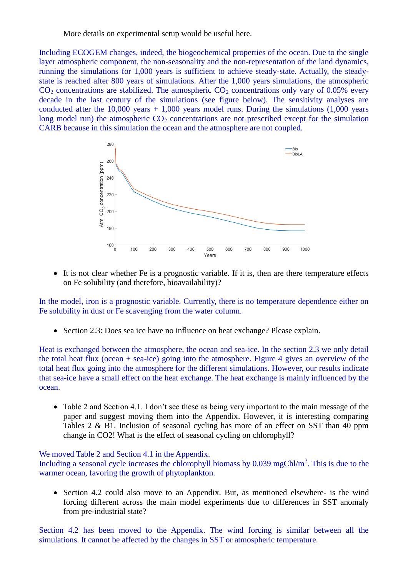More details on experimental setup would be useful here.

Including ECOGEM changes, indeed, the biogeochemical properties of the ocean. Due to the single layer atmospheric component, the non-seasonality and the non-representation of the land dynamics, running the simulations for 1,000 years is sufficient to achieve steady-state. Actually, the steadystate is reached after 800 years of simulations. After the 1,000 years simulations, the atmospheric  $CO<sub>2</sub>$  concentrations are stabilized. The atmospheric  $CO<sub>2</sub>$  concentrations only vary of 0.05% every decade in the last century of the simulations (see figure below). The sensitivity analyses are conducted after the 10,000 years + 1,000 years model runs. During the simulations  $(1,000$  years long model run) the atmospheric  $CO<sub>2</sub>$  concentrations are not prescribed except for the simulation CARB because in this simulation the ocean and the atmosphere are not coupled.



 It is not clear whether Fe is a prognostic variable. If it is, then are there temperature effects on Fe solubility (and therefore, bioavailability)?

In the model, iron is a prognostic variable. Currently, there is no temperature dependence either on Fe solubility in dust or Fe scavenging from the water column.

Section 2.3: Does sea ice have no influence on heat exchange? Please explain.

Heat is exchanged between the atmosphere, the ocean and sea-ice. In the section 2.3 we only detail the total heat flux (ocean + sea-ice) going into the atmosphere. Figure 4 gives an overview of the total heat flux going into the atmosphere for the different simulations. However, our results indicate that sea-ice have a small effect on the heat exchange. The heat exchange is mainly influenced by the ocean.

• Table 2 and Section 4.1. I don't see these as being very important to the main message of the paper and suggest moving them into the Appendix. However, it is interesting comparing Tables 2 & B1. Inclusion of seasonal cycling has more of an effect on SST than 40 ppm change in CO2! What is the effect of seasonal cycling on chlorophyll?

## We moved Table 2 and Section 4.1 in the Appendix.

Including a seasonal cycle increases the chlorophyll biomass by  $0.039 \text{ mgChl/m}^3$ . This is due to the warmer ocean, favoring the growth of phytoplankton.

• Section 4.2 could also move to an Appendix. But, as mentioned elsewhere- is the wind forcing different across the main model experiments due to differences in SST anomaly from pre-industrial state?

Section 4.2 has been moved to the Appendix. The wind forcing is similar between all the simulations. It cannot be affected by the changes in SST or atmospheric temperature.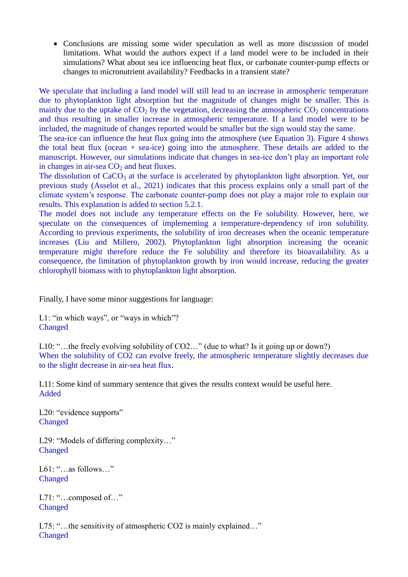Conclusions are missing some wider speculation as well as more discussion of model limitations. What would the authors expect if a land model were to be included in their simulations? What about sea ice influencing heat flux, or carbonate counter-pump effects or changes to micronutrient availability? Feedbacks in a transient state?

We speculate that including a land model will still lead to an increase in atmospheric temperature due to phytoplankton light absorption but the magnitude of changes might be smaller. This is mainly due to the uptake of  $CO<sub>2</sub>$  by the vegetation, decreasing the atmospheric  $CO<sub>2</sub>$  concentrations and thus resulting in smaller increase in atmospheric temperature. If a land model were to be included, the magnitude of changes reported would be smaller but the sign would stay the same.

The sea-ice can influence the heat flux going into the atmosphere (see Equation 3). Figure 4 shows the total heat flux (ocean + sea-ice) going into the atmosphere. These details are added to the manuscript. However, our simulations indicate that changes in sea-ice don't play an important role in changes in air-sea  $CO<sub>2</sub>$  and heat fluxes.

The dissolution of  $CaCO<sub>3</sub>$  at the surface is accelerated by phytoplankton light absorption. Yet, our previous study (Asselot et al., 2021) indicates that this process explains only a small part of the climate system's response. The carbonate counter-pump does not play a major role to explain our results. This explanation is added to section 5.2.1.

The model does not include any temperature effects on the Fe solubility. However, here, we speculate on the consequences of implementing a temperature-dependency of iron solubility. According to previous experiments, the solubility of iron decreases when the oceanic temperature increases (Liu and Millero, 2002). Phytoplankton light absorption increasing the oceanic temperature might therefore reduce the Fe solubility and therefore its bioavailability. As a consequence, the limitation of phytoplankton growth by iron would increase, reducing the greater chlorophyll biomass with to phytoplankton light absorption.

Finally, I have some minor suggestions for language:

L1: "in which ways", or "ways in which"? Changed

L10: "...the freely evolving solubility of CO2..." (due to what? Is it going up or down?) When the solubility of CO2 can evolve freely, the atmospheric temperature slightly decreases due to the slight decrease in air-sea heat flux.

L11: Some kind of summary sentence that gives the results context would be useful here. Added

L20: "evidence supports" Changed

L29: "Models of differing complexity…" Changed

L61: "…as follows…" Changed

L71: "...composed of..." Changed

L75: "...the sensitivity of atmospheric CO2 is mainly explained..." Changed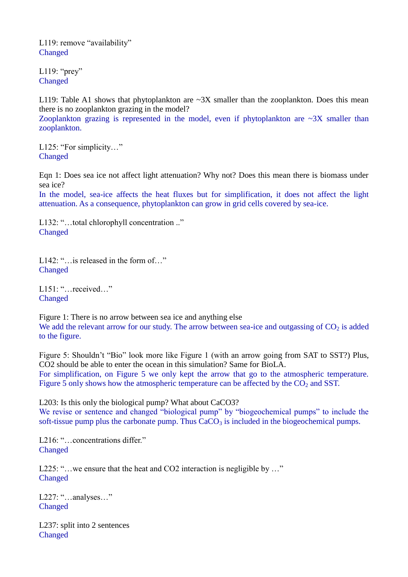L119: remove "availability" **Changed** 

L119: " $prey$ " **Changed** 

zooplankton.

L119: Table A1 shows that phytoplankton are  $\sim 3X$  smaller than the zooplankton. Does this mean there is no zooplankton grazing in the model? Zooplankton grazing is represented in the model, even if phytoplankton are  $\sim 3X$  smaller than

L125: "For simplicity..." Changed

Eqn 1: Does sea ice not affect light attenuation? Why not? Does this mean there is biomass under sea ice?

In the model, sea-ice affects the heat fluxes but for simplification, it does not affect the light attenuation. As a consequence, phytoplankton can grow in grid cells covered by sea-ice.

L132: "…total chlorophyll concentration .." Changed

L142: "…is released in the form of…" Changed

L151: "…received…" **Changed** 

Figure 1: There is no arrow between sea ice and anything else We add the relevant arrow for our study. The arrow between sea-ice and outgassing of  $CO<sub>2</sub>$  is added to the figure.

Figure 5: Shouldn't "Bio" look more like Figure 1 (with an arrow going from SAT to SST?) Plus, CO2 should be able to enter the ocean in this simulation? Same for BioLA. For simplification, on Figure 5 we only kept the arrow that go to the atmospheric temperature. Figure 5 only shows how the atmospheric temperature can be affected by the  $CO<sub>2</sub>$  and SST.

L203: Is this only the biological pump? What about CaCO3? We revise or sentence and changed "biological pump" by "biogeochemical pumps" to include the soft-tissue pump plus the carbonate pump. Thus  $CaCO<sub>3</sub>$  is included in the biogeochemical pumps.

L216: "...concentrations differ." Changed

L225: "…we ensure that the heat and CO2 interaction is negligible by ..." Changed

L227: "…analyses…" Changed

L237: split into 2 sentences Changed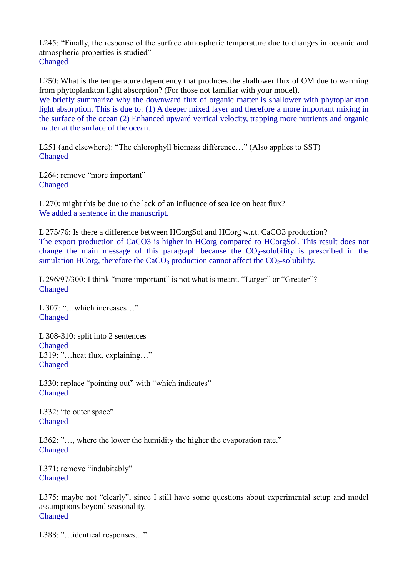L245: "Finally, the response of the surface atmospheric temperature due to changes in oceanic and atmospheric properties is studied" Changed

L250: What is the temperature dependency that produces the shallower flux of OM due to warming from phytoplankton light absorption? (For those not familiar with your model). We briefly summarize why the downward flux of organic matter is shallower with phytoplankton light absorption. This is due to: (1) A deeper mixed layer and therefore a more important mixing in the surface of the ocean (2) Enhanced upward vertical velocity, trapping more nutrients and organic matter at the surface of the ocean.

L251 (and elsewhere): "The chlorophyll biomass difference..." (Also applies to SST) Changed

L264: remove "more important" Changed

L 270: might this be due to the lack of an influence of sea ice on heat flux? We added a sentence in the manuscript.

L 275/76: Is there a difference between HCorgSol and HCorg w.r.t. CaCO3 production? The export production of CaCO3 is higher in HCorg compared to HCorgSol. This result does not change the main message of this paragraph because the  $CO<sub>2</sub>$ -solubility is prescribed in the simulation HCorg, therefore the CaCO<sub>3</sub> production cannot affect the  $CO<sub>2</sub>$ -solubility.

L 296/97/300: I think "more important" is not what is meant. "Larger" or "Greater"? Changed

L 307: "…which increases…" Changed

L 308-310: split into 2 sentences Changed L319: "... heat flux, explaining..." Changed

L330: replace "pointing out" with "which indicates" Changed

L332: "to outer space" Changed

L362: "..., where the lower the humidity the higher the evaporation rate." **Changed** 

L371: remove "indubitably" Changed

L375: maybe not "clearly", since I still have some questions about experimental setup and model assumptions beyond seasonality. **Changed** 

L388: "...identical responses..."